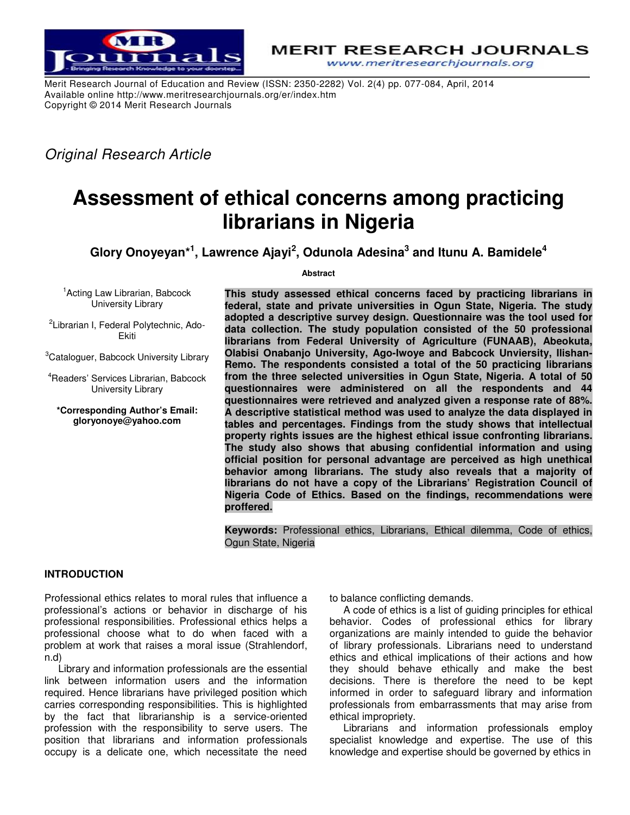

**MERIT RESEARCH JOURNALS** www.meritresearchjournals.org

Merit Research Journal of Education and Review (ISSN: 2350-2282) Vol. 2(4) pp. 077-084, April, 2014 Available online http://www.meritresearchjournals.org/er/index.htm Copyright © 2014 Merit Research Journals

*Original Research Article* 

# **Assessment of ethical concerns among practicing librarians in Nigeria**

**Glory Onoyeyan\*<sup>1</sup> , Lawrence Ajayi<sup>2</sup> , Odunola Adesina<sup>3</sup> and Itunu A. Bamidele<sup>4</sup>**

**Abstract** 

<sup>1</sup> Acting Law Librarian, Babcock University Library

<sup>2</sup>Librarian I, Federal Polytechnic, Ado-Ekiti

<sup>3</sup>Cataloguer, Babcock University Library

<sup>4</sup>Readers' Services Librarian, Babcock University Library

**\*Corresponding Author's Email: gloryonoye@yahoo.com** 

**This study assessed ethical concerns faced by practicing librarians in federal, state and private universities in Ogun State, Nigeria. The study adopted a descriptive survey design. Questionnaire was the tool used for data collection. The study population consisted of the 50 professional librarians from Federal University of Agriculture (FUNAAB), Abeokuta, Olabisi Onabanjo University, Ago-Iwoye and Babcock Unviersity, Ilishan-Remo. The respondents consisted a total of the 50 practicing librarians from the three selected universities in Ogun State, Nigeria. A total of 50 questionnaires were administered on all the respondents and 44 questionnaires were retrieved and analyzed given a response rate of 88%. A descriptive statistical method was used to analyze the data displayed in tables and percentages. Findings from the study shows that intellectual property rights issues are the highest ethical issue confronting librarians. The study also shows that abusing confidential information and using official position for personal advantage are perceived as high unethical behavior among librarians. The study also reveals that a majority of librarians do not have a copy of the Librarians' Registration Council of Nigeria Code of Ethics. Based on the findings, recommendations were proffered.** 

**Keywords:** Professional ethics, Librarians, Ethical dilemma, Code of ethics, Ogun State, Nigeria

# **INTRODUCTION**

Professional ethics relates to moral rules that influence a professional's actions or behavior in discharge of his professional responsibilities. Professional ethics helps a professional choose what to do when faced with a problem at work that raises a moral issue (Strahlendorf, n.d)

Library and information professionals are the essential link between information users and the information required. Hence librarians have privileged position which carries corresponding responsibilities. This is highlighted by the fact that librarianship is a service-oriented profession with the responsibility to serve users. The position that librarians and information professionals occupy is a delicate one, which necessitate the need

to balance conflicting demands.

A code of ethics is a list of guiding principles for ethical behavior. Codes of professional ethics for library organizations are mainly intended to guide the behavior of library professionals. Librarians need to understand ethics and ethical implications of their actions and how they should behave ethically and make the best decisions. There is therefore the need to be kept informed in order to safeguard library and information professionals from embarrassments that may arise from ethical impropriety.

Librarians and information professionals employ specialist knowledge and expertise. The use of this knowledge and expertise should be governed by ethics in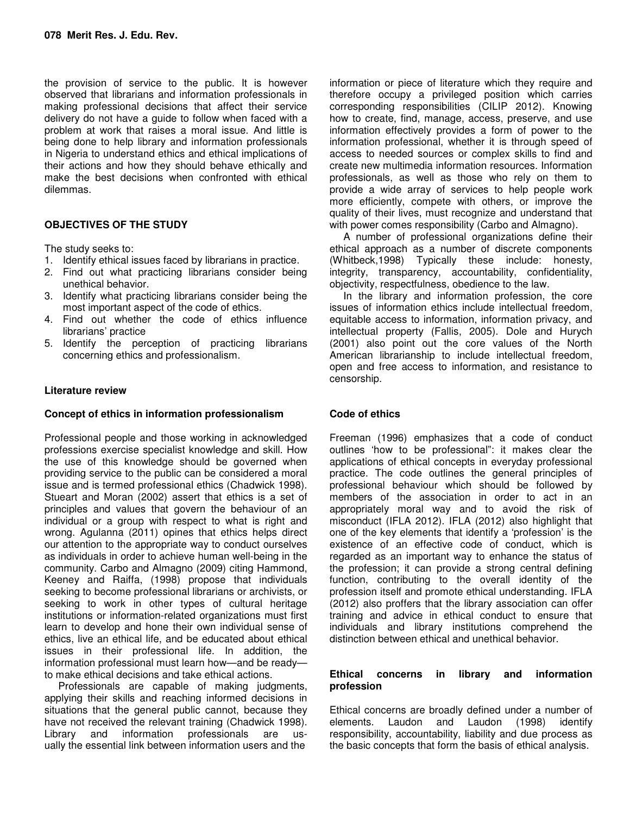the provision of service to the public. It is however observed that librarians and information professionals in making professional decisions that affect their service delivery do not have a guide to follow when faced with a problem at work that raises a moral issue. And little is being done to help library and information professionals in Nigeria to understand ethics and ethical implications of their actions and how they should behave ethically and make the best decisions when confronted with ethical dilemmas.

# **OBJECTIVES OF THE STUDY**

The study seeks to:

- 1. Identify ethical issues faced by librarians in practice.
- 2. Find out what practicing librarians consider being unethical behavior.
- 3. Identify what practicing librarians consider being the most important aspect of the code of ethics.
- 4. Find out whether the code of ethics influence librarians' practice
- 5. Identify the perception of practicing librarians concerning ethics and professionalism.

## **Literature review**

### **Concept of ethics in information professionalism**

Professional people and those working in acknowledged professions exercise specialist knowledge and skill. How the use of this knowledge should be governed when providing service to the public can be considered a moral issue and is termed professional ethics (Chadwick 1998). Stueart and Moran (2002) assert that ethics is a set of principles and values that govern the behaviour of an individual or a group with respect to what is right and wrong. Agulanna (2011) opines that ethics helps direct our attention to the appropriate way to conduct ourselves as individuals in order to achieve human well-being in the community. Carbo and Almagno (2009) citing Hammond, Keeney and Raiffa, (1998) propose that individuals seeking to become professional librarians or archivists, or seeking to work in other types of cultural heritage institutions or information-related organizations must first learn to develop and hone their own individual sense of ethics, live an ethical life, and be educated about ethical issues in their professional life. In addition, the information professional must learn how—and be ready to make ethical decisions and take ethical actions.

Professionals are capable of making judgments, applying their skills and reaching informed decisions in situations that the general public cannot, because they have not received the relevant training (Chadwick 1998). Library and information professionals are usually the essential link between information users and the

information or piece of literature which they require and therefore occupy a privileged position which carries corresponding responsibilities (CILIP 2012). Knowing how to create, find, manage, access, preserve, and use information effectively provides a form of power to the information professional, whether it is through speed of access to needed sources or complex skills to find and create new multimedia information resources. Information professionals, as well as those who rely on them to provide a wide array of services to help people work more efficiently, compete with others, or improve the quality of their lives, must recognize and understand that with power comes responsibility (Carbo and Almagno).

A number of professional organizations define their ethical approach as a number of discrete components (Whitbeck,1998) Typically these include: honesty, integrity, transparency, accountability, confidentiality, objectivity, respectfulness, obedience to the law.

In the library and information profession, the core issues of information ethics include intellectual freedom, equitable access to information, information privacy, and intellectual property (Fallis, 2005). Dole and Hurych (2001) also point out the core values of the North American librarianship to include intellectual freedom, open and free access to information, and resistance to censorship.

# **Code of ethics**

Freeman (1996) emphasizes that a code of conduct outlines 'how to be professional": it makes clear the applications of ethical concepts in everyday professional practice. The code outlines the general principles of professional behaviour which should be followed by members of the association in order to act in an appropriately moral way and to avoid the risk of misconduct (IFLA 2012). IFLA (2012) also highlight that one of the key elements that identify a 'profession' is the existence of an effective code of conduct, which is regarded as an important way to enhance the status of the profession; it can provide a strong central defining function, contributing to the overall identity of the profession itself and promote ethical understanding. IFLA (2012) also proffers that the library association can offer training and advice in ethical conduct to ensure that individuals and library institutions comprehend the distinction between ethical and unethical behavior.

### **Ethical concerns in library and information profession**

Ethical concerns are broadly defined under a number of elements. Laudon and Laudon (1998) identify responsibility, accountability, liability and due process as the basic concepts that form the basis of ethical analysis.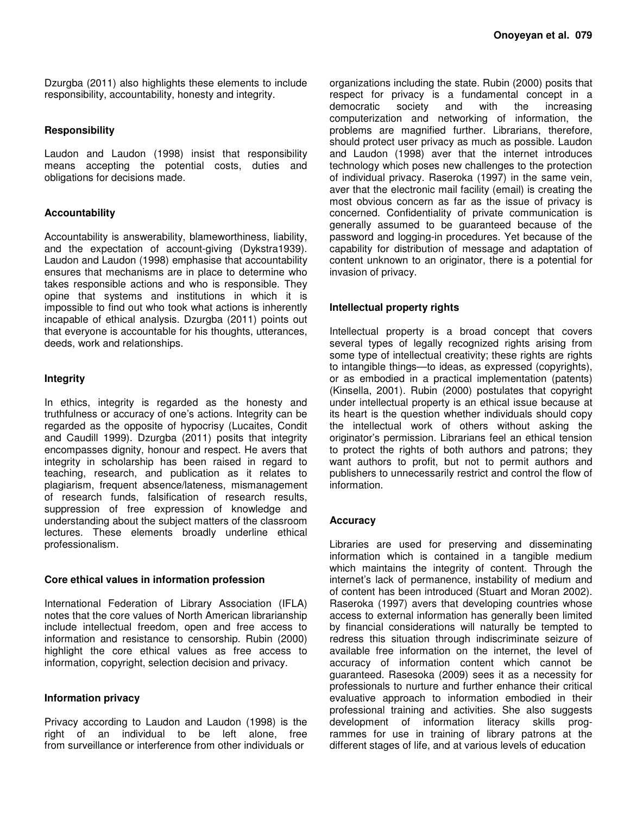Dzurgba (2011) also highlights these elements to include responsibility, accountability, honesty and integrity.

### **Responsibility**

Laudon and Laudon (1998) insist that responsibility means accepting the potential costs, duties and obligations for decisions made.

## **Accountability**

Accountability is answerability, blameworthiness, liability, and the expectation of account-giving (Dykstra1939). Laudon and Laudon (1998) emphasise that accountability ensures that mechanisms are in place to determine who takes responsible actions and who is responsible. They opine that systems and institutions in which it is impossible to find out who took what actions is inherently incapable of ethical analysis. Dzurgba (2011) points out that everyone is accountable for his thoughts, utterances, deeds, work and relationships.

### **Integrity**

In ethics, integrity is regarded as the honesty and truthfulness or accuracy of one's actions. Integrity can be regarded as the opposite of hypocrisy (Lucaites, Condit and Caudill 1999). Dzurgba (2011) posits that integrity encompasses dignity, honour and respect. He avers that integrity in scholarship has been raised in regard to teaching, research, and publication as it relates to plagiarism, frequent absence/lateness, mismanagement of research funds, falsification of research results, suppression of free expression of knowledge and understanding about the subject matters of the classroom lectures. These elements broadly underline ethical professionalism.

### **Core ethical values in information profession**

International Federation of Library Association (IFLA) notes that the core values of North American librarianship include intellectual freedom, open and free access to information and resistance to censorship. Rubin (2000) highlight the core ethical values as free access to information, copyright, selection decision and privacy.

### **Information privacy**

Privacy according to Laudon and Laudon (1998) is the right of an individual to be left alone, free from surveillance or interference from other individuals or

organizations including the state. Rubin (2000) posits that respect for privacy is a fundamental concept in a democratic society and with the increasing computerization and networking of information, the problems are magnified further. Librarians, therefore, should protect user privacy as much as possible. Laudon and Laudon (1998) aver that the internet introduces technology which poses new challenges to the protection of individual privacy. Raseroka (1997) in the same vein, aver that the electronic mail facility (email) is creating the most obvious concern as far as the issue of privacy is concerned. Confidentiality of private communication is generally assumed to be guaranteed because of the password and logging-in procedures. Yet because of the capability for distribution of message and adaptation of content unknown to an originator, there is a potential for invasion of privacy.

## **Intellectual property rights**

Intellectual property is a broad concept that covers several types of legally recognized rights arising from some type of intellectual creativity; these rights are rights to intangible things—to ideas, as expressed (copyrights), or as embodied in a practical implementation (patents) (Kinsella, 2001). Rubin (2000) postulates that copyright under intellectual property is an ethical issue because at its heart is the question whether individuals should copy the intellectual work of others without asking the originator's permission. Librarians feel an ethical tension to protect the rights of both authors and patrons; they want authors to profit, but not to permit authors and publishers to unnecessarily restrict and control the flow of information.

### **Accuracy**

Libraries are used for preserving and disseminating information which is contained in a tangible medium which maintains the integrity of content. Through the internet's lack of permanence, instability of medium and of content has been introduced (Stuart and Moran 2002). Raseroka (1997) avers that developing countries whose access to external information has generally been limited by financial considerations will naturally be tempted to redress this situation through indiscriminate seizure of available free information on the internet, the level of accuracy of information content which cannot be guaranteed. Rasesoka (2009) sees it as a necessity for professionals to nurture and further enhance their critical evaluative approach to information embodied in their professional training and activities. She also suggests development of information literacy skills programmes for use in training of library patrons at the different stages of life, and at various levels of education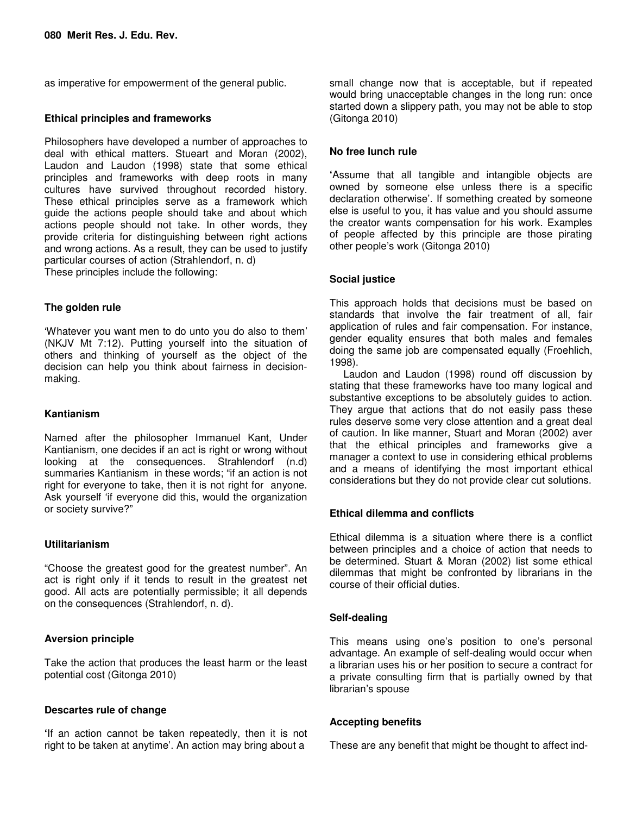as imperative for empowerment of the general public.

## **Ethical principles and frameworks**

Philosophers have developed a number of approaches to deal with ethical matters. Stueart and Moran (2002), Laudon and Laudon (1998) state that some ethical principles and frameworks with deep roots in many cultures have survived throughout recorded history. These ethical principles serve as a framework which guide the actions people should take and about which actions people should not take. In other words, they provide criteria for distinguishing between right actions and wrong actions. As a result, they can be used to justify particular courses of action (Strahlendorf, n. d) These principles include the following:

## **The golden rule**

'Whatever you want men to do unto you do also to them' (NKJV Mt 7:12). Putting yourself into the situation of others and thinking of yourself as the object of the decision can help you think about fairness in decisionmaking.

## **Kantianism**

Named after the philosopher Immanuel Kant, Under Kantianism, one decides if an act is right or wrong without looking at the consequences. Strahlendorf (n.d) summaries Kantianism in these words; "if an action is not right for everyone to take, then it is not right for anyone. Ask yourself 'if everyone did this, would the organization or society survive?"

## **Utilitarianism**

"Choose the greatest good for the greatest number". An act is right only if it tends to result in the greatest net good. All acts are potentially permissible; it all depends on the consequences (Strahlendorf, n. d).

### **Aversion principle**

Take the action that produces the least harm or the least potential cost (Gitonga 2010)

### **Descartes rule of change**

**'**If an action cannot be taken repeatedly, then it is not right to be taken at anytime'. An action may bring about a

small change now that is acceptable, but if repeated would bring unacceptable changes in the long run: once started down a slippery path, you may not be able to stop (Gitonga 2010)

## **No free lunch rule**

**'**Assume that all tangible and intangible objects are owned by someone else unless there is a specific declaration otherwise'. If something created by someone else is useful to you, it has value and you should assume the creator wants compensation for his work. Examples of people affected by this principle are those pirating other people's work (Gitonga 2010)

## **Social justice**

This approach holds that decisions must be based on standards that involve the fair treatment of all, fair application of rules and fair compensation. For instance, gender equality ensures that both males and females doing the same job are compensated equally (Froehlich, 1998).

Laudon and Laudon (1998) round off discussion by stating that these frameworks have too many logical and substantive exceptions to be absolutely guides to action. They argue that actions that do not easily pass these rules deserve some very close attention and a great deal of caution. In like manner, Stuart and Moran (2002) aver that the ethical principles and frameworks give a manager a context to use in considering ethical problems and a means of identifying the most important ethical considerations but they do not provide clear cut solutions.

### **Ethical dilemma and conflicts**

Ethical dilemma is a situation where there is a conflict between principles and a choice of action that needs to be determined. Stuart & Moran (2002) list some ethical dilemmas that might be confronted by librarians in the course of their official duties.

# **Self-dealing**

This means using one's position to one's personal advantage. An example of self-dealing would occur when a librarian uses his or her position to secure a contract for a private consulting firm that is partially owned by that librarian's spouse

### **Accepting benefits**

These are any benefit that might be thought to affect ind-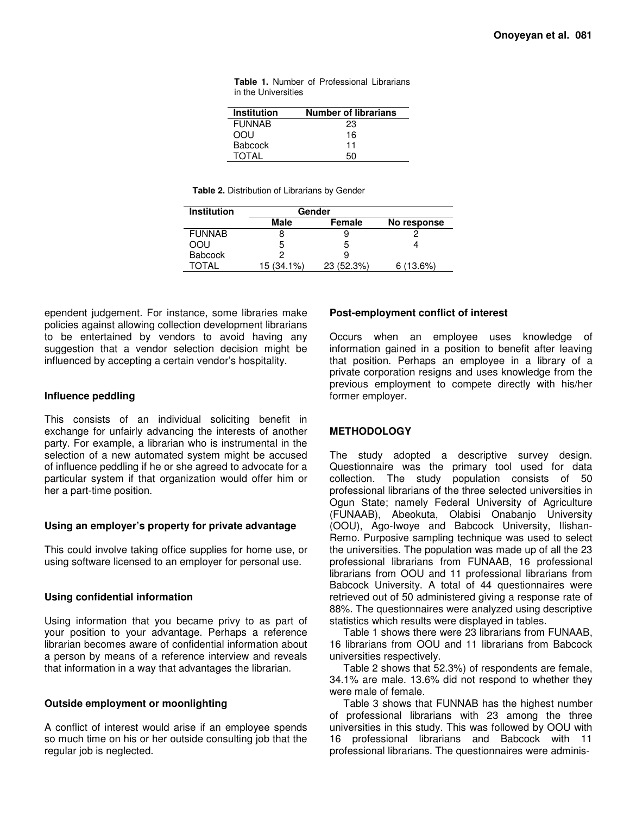| <b>Table 1.</b> Number of Professional Librarians |  |  |
|---------------------------------------------------|--|--|
| in the Universities                               |  |  |

| <b>Institution</b> | <b>Number of librarians</b> |
|--------------------|-----------------------------|
| <b>FUNNAB</b>      | 23                          |
| വി                 | 16                          |
| <b>Babcock</b>     | 11                          |
| TOTAI              | 50                          |

**Table 2.** Distribution of Librarians by Gender

| <b>Institution</b> | Gender     |            |             |
|--------------------|------------|------------|-------------|
|                    | Male       | Female     | No response |
| <b>FUNNAB</b>      | 8          | 9          |             |
| OOU                | 5          | 5          |             |
| <b>Babcock</b>     | 2          | 9          |             |
| TOTAI              | 15 (34.1%) | 23 (52.3%) | 6(13.6%)    |

ependent judgement. For instance, some libraries make policies against allowing collection development librarians to be entertained by vendors to avoid having any suggestion that a vendor selection decision might be influenced by accepting a certain vendor's hospitality.

#### **Influence peddling**

This consists of an individual soliciting benefit in exchange for unfairly advancing the interests of another party. For example, a librarian who is instrumental in the selection of a new automated system might be accused of influence peddling if he or she agreed to advocate for a particular system if that organization would offer him or her a part-time position.

#### **Using an employer's property for private advantage**

This could involve taking office supplies for home use, or using software licensed to an employer for personal use.

### **Using confidential information**

Using information that you became privy to as part of your position to your advantage. Perhaps a reference librarian becomes aware of confidential information about a person by means of a reference interview and reveals that information in a way that advantages the librarian.

### **Outside employment or moonlighting**

A conflict of interest would arise if an employee spends so much time on his or her outside consulting job that the regular job is neglected.

#### **Post-employment conflict of interest**

Occurs when an employee uses knowledge of information gained in a position to benefit after leaving that position. Perhaps an employee in a library of a private corporation resigns and uses knowledge from the previous employment to compete directly with his/her former employer.

### **METHODOLOGY**

The study adopted a descriptive survey design. Questionnaire was the primary tool used for data collection. The study population consists of 50 professional librarians of the three selected universities in Ogun State; namely Federal University of Agriculture (FUNAAB), Abeokuta, Olabisi Onabanjo University (OOU), Ago-Iwoye and Babcock University, Ilishan-Remo. Purposive sampling technique was used to select the universities. The population was made up of all the 23 professional librarians from FUNAAB, 16 professional librarians from OOU and 11 professional librarians from Babcock University. A total of 44 questionnaires were retrieved out of 50 administered giving a response rate of 88%. The questionnaires were analyzed using descriptive statistics which results were displayed in tables.

Table 1 shows there were 23 librarians from FUNAAB, 16 librarians from OOU and 11 librarians from Babcock universities respectively.

Table 2 shows that 52.3%) of respondents are female, 34.1% are male. 13.6% did not respond to whether they were male of female.

Table 3 shows that FUNNAB has the highest number of professional librarians with 23 among the three universities in this study. This was followed by OOU with 16 professional librarians and Babcock with 11 professional librarians. The questionnaires were adminis-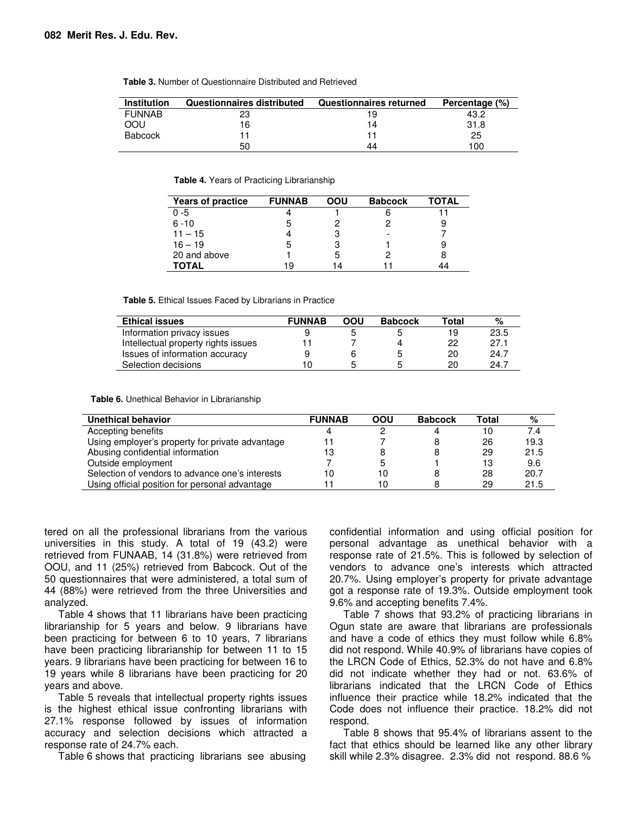| <b>Institution</b> | Questionnaires distributed | <b>Questionnaires returned</b> | Percentage (%) |
|--------------------|----------------------------|--------------------------------|----------------|
| <b>FUNNAB</b>      |                            | 19                             | 43.2           |
| OOU                | 16                         | 14                             | 31.8           |
| <b>Babcock</b>     |                            |                                | 25             |
|                    | 50                         | 44                             | 100            |

**Table 3.** Number of Questionnaire Distributed and Retrieved

**Table 4.** Years of Practicing Librarianship

| <b>Years of practice</b> | <b>FUNNAB</b> | OOU | <b>Babcock</b> | ΤΟΤΑL |
|--------------------------|---------------|-----|----------------|-------|
| $0 - 5$                  |               |     |                |       |
| $6 - 10$                 | ٠h            |     |                |       |
| $11 - 15$                |               | R   |                |       |
| $16 - 19$                | 5             |     |                |       |
| 20 and above             |               |     |                |       |
| TOTAL                    | 19            | 14  |                |       |

**Table 5.** Ethical Issues Faced by Librarians in Practice

| <b>Ethical issues</b>               | <b>FUNNAB</b> | OOU | <b>Babcock</b> | Total | %    |
|-------------------------------------|---------------|-----|----------------|-------|------|
| Information privacy issues          |               |     |                | 19    | 23.5 |
| Intellectual property rights issues |               |     |                | 22    | 27.1 |
| Issues of information accuracy      |               | 6   |                | 20    | 24.7 |
| Selection decisions                 |               |     | 5              | 20    | 24.7 |

**Table 6.** Unethical Behavior in Librarianship

| Unethical behavior                              | <b>FUNNAB</b> | OOU | <b>Babcock</b> | Total | %    |
|-------------------------------------------------|---------------|-----|----------------|-------|------|
| Accepting benefits                              |               |     | 4              | 10    | 7.4  |
| Using employer's property for private advantage |               |     |                | 26    | 19.3 |
| Abusing confidential information                | 13            |     |                | 29    | 21.5 |
| Outside employment                              |               |     |                | 13    | 9.6  |
| Selection of vendors to advance one's interests | 10            | 10  |                | 28    | 20.7 |
| Using official position for personal advantage  |               | 10  |                | 29    | 21.5 |

tered on all the professional librarians from the various universities in this study. A total of 19 (43.2) were retrieved from FUNAAB, 14 (31.8%) were retrieved from OOU, and 11 (25%) retrieved from Babcock. Out of the 50 questionnaires that were administered, a total sum of 44 (88%) were retrieved from the three Universities and analyzed.

Table 4 shows that 11 librarians have been practicing librarianship for 5 years and below. 9 librarians have been practicing for between 6 to 10 years, 7 librarians have been practicing librarianship for between 11 to 15 years. 9 librarians have been practicing for between 16 to 19 years while 8 librarians have been practicing for 20 years and above.

Table 5 reveals that intellectual property rights issues is the highest ethical issue confronting librarians with 27.1% response followed by issues of information accuracy and selection decisions which attracted a response rate of 24.7% each.

Table 6 shows that practicing librarians see abusing

confidential information and using official position for personal advantage as unethical behavior with a response rate of 21.5%. This is followed by selection of vendors to advance one's interests which attracted 20.7%. Using employer's property for private advantage got a response rate of 19.3%. Outside employment took 9.6% and accepting benefits 7.4%.

Table 7 shows that 93.2% of practicing librarians in Ogun state are aware that librarians are professionals and have a code of ethics they must follow while 6.8% did not respond. While 40.9% of librarians have copies of the LRCN Code of Ethics, 52.3% do not have and 6.8% did not indicate whether they had or not. 63.6% of librarians indicated that the LRCN Code of Ethics influence their practice while 18.2% indicated that the Code does not influence their practice. 18.2% did not respond.

Table 8 shows that 95.4% of librarians assent to the fact that ethics should be learned like any other library skill while 2.3% disagree. 2.3% did not respond. 88.6 %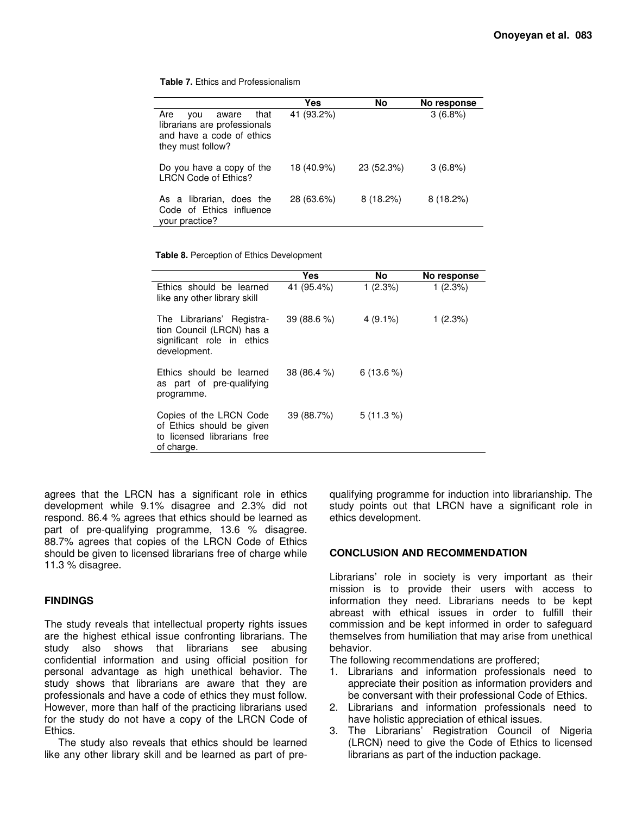**Table 7.** Ethics and Professionalism

|                                                                                                               | Yes        | <b>No</b>   | No response |
|---------------------------------------------------------------------------------------------------------------|------------|-------------|-------------|
| Are<br>that<br>aware<br>vou<br>librarians are professionals<br>and have a code of ethics<br>they must follow? | 41 (93.2%) |             | 3(6.8%)     |
| Do you have a copy of the<br><b>LRCN Code of Ethics?</b>                                                      | 18 (40.9%) | 23 (52.3%)  | $3(6.8\%)$  |
| As a librarian, does the<br>Code of Ethics influence<br>your practice?                                        | 28 (63.6%) | $8(18.2\%)$ | $8(18.2\%)$ |

**Table 8.** Perception of Ethics Development

|                                                                                                      | <b>Yes</b>  | No          | No response |
|------------------------------------------------------------------------------------------------------|-------------|-------------|-------------|
| Ethics should be learned<br>like any other library skill                                             | 41 (95.4%)  | 1(2.3%)     | 1(2.3%)     |
| The Librarians' Registra-<br>tion Council (LRCN) has a<br>significant role in ethics<br>development. | 39(88.6%)   | $4(9.1\%)$  | 1(2.3%)     |
| Ethics should be learned<br>as part of pre-qualifying<br>programme.                                  | 38 (86.4 %) | $6(13.6\%)$ |             |
| Copies of the LRCN Code<br>of Ethics should be given<br>to licensed librarians free<br>of charge.    | 39 (88.7%)  | $5(11.3\%)$ |             |

agrees that the LRCN has a significant role in ethics development while 9.1% disagree and 2.3% did not respond. 86.4 % agrees that ethics should be learned as part of pre-qualifying programme, 13.6 % disagree. 88.7% agrees that copies of the LRCN Code of Ethics should be given to licensed librarians free of charge while 11.3 % disagree.

### **FINDINGS**

The study reveals that intellectual property rights issues are the highest ethical issue confronting librarians. The study also shows that librarians see abusing confidential information and using official position for personal advantage as high unethical behavior. The study shows that librarians are aware that they are professionals and have a code of ethics they must follow. However, more than half of the practicing librarians used for the study do not have a copy of the LRCN Code of Ethics.

The study also reveals that ethics should be learned like any other library skill and be learned as part of pre-

qualifying programme for induction into librarianship. The study points out that LRCN have a significant role in ethics development.

### **CONCLUSION AND RECOMMENDATION**

Librarians' role in society is very important as their mission is to provide their users with access to information they need. Librarians needs to be kept abreast with ethical issues in order to fulfill their commission and be kept informed in order to safeguard themselves from humiliation that may arise from unethical behavior.

The following recommendations are proffered;

- 1. Librarians and information professionals need to appreciate their position as information providers and be conversant with their professional Code of Ethics.
- 2. Librarians and information professionals need to have holistic appreciation of ethical issues.
- 3. The Librarians' Registration Council of Nigeria (LRCN) need to give the Code of Ethics to licensed librarians as part of the induction package.